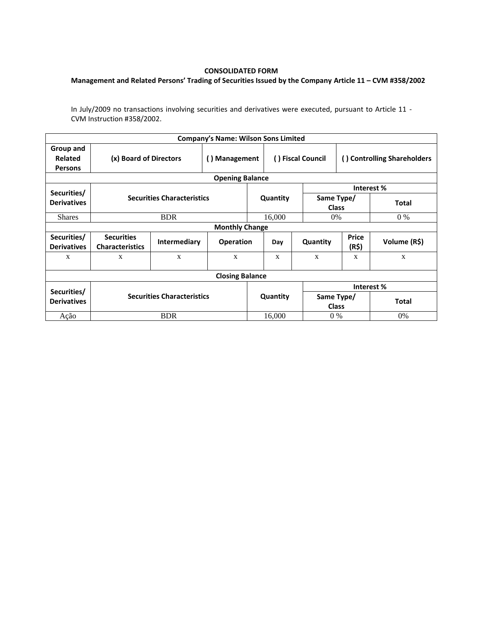## **CONSOLIDATED FORM**

## **Management and Related Persons' Trading of Securities Issued by the Company Article 11 – CVM #358/2002**

In July/2009 no transactions involving securities and derivatives were executed, pursuant to Article 11 - CVM Instruction #358/2002.

|                                        |                                             |              | <b>Company's Name: Wilson Sons Limited</b> |          |                    |                            |                             |              |  |  |  |
|----------------------------------------|---------------------------------------------|--------------|--------------------------------------------|----------|--------------------|----------------------------|-----------------------------|--------------|--|--|--|
| Group and<br>Related<br><b>Persons</b> | (x) Board of Directors                      |              | () Management                              |          | ( ) Fiscal Council |                            | () Controlling Shareholders |              |  |  |  |
| <b>Opening Balance</b>                 |                                             |              |                                            |          |                    |                            |                             |              |  |  |  |
| Securities/                            |                                             |              |                                            |          |                    | Interest %                 |                             |              |  |  |  |
| <b>Derivatives</b>                     | <b>Securities Characteristics</b>           |              |                                            | Quantity |                    | Same Type/<br><b>Class</b> |                             | <b>Total</b> |  |  |  |
| <b>Shares</b>                          |                                             | <b>BDR</b>   |                                            |          | 16,000             | 0%                         |                             | $0\%$        |  |  |  |
| <b>Monthly Change</b>                  |                                             |              |                                            |          |                    |                            |                             |              |  |  |  |
| Securities/<br><b>Derivatives</b>      | <b>Securities</b><br><b>Characteristics</b> | Intermediary | <b>Operation</b>                           |          | Day                | Quantity                   | <b>Price</b><br>(R\$)       | Volume (R\$) |  |  |  |
| X                                      | X                                           | X            | X                                          |          | X                  | X                          | X                           | X            |  |  |  |
| <b>Closing Balance</b>                 |                                             |              |                                            |          |                    |                            |                             |              |  |  |  |
|                                        | <b>Securities Characteristics</b>           |              |                                            |          |                    | Interest %                 |                             |              |  |  |  |
| Securities/<br><b>Derivatives</b>      |                                             |              |                                            |          | Quantity           | Same Type/<br><b>Class</b> |                             | <b>Total</b> |  |  |  |
| Ação                                   | <b>BDR</b>                                  |              |                                            | 16.000   |                    | $0\%$                      |                             | $0\%$        |  |  |  |